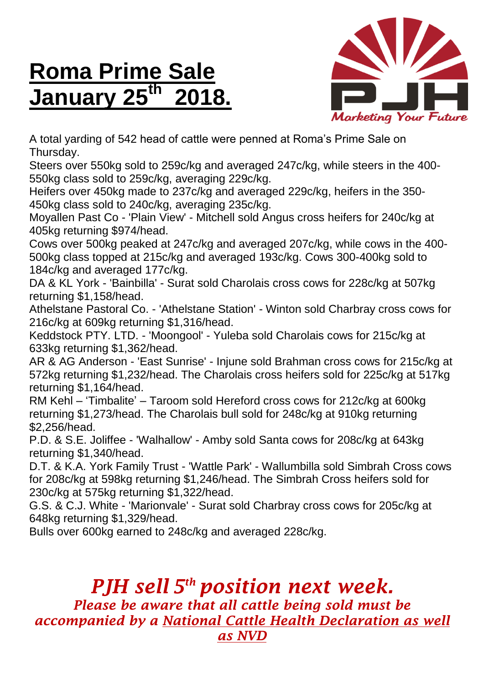## **Roma Prime Sale January 25th 2018.**



A total yarding of 542 head of cattle were penned at Roma's Prime Sale on Thursday.

Steers over 550kg sold to 259c/kg and averaged 247c/kg, while steers in the 400- 550kg class sold to 259c/kg, averaging 229c/kg.

Heifers over 450kg made to 237c/kg and averaged 229c/kg, heifers in the 350- 450kg class sold to 240c/kg, averaging 235c/kg.

Moyallen Past Co - 'Plain View' - Mitchell sold Angus cross heifers for 240c/kg at 405kg returning \$974/head.

Cows over 500kg peaked at 247c/kg and averaged 207c/kg, while cows in the 400- 500kg class topped at 215c/kg and averaged 193c/kg. Cows 300-400kg sold to 184c/kg and averaged 177c/kg.

DA & KL York - 'Bainbilla' - Surat sold Charolais cross cows for 228c/kg at 507kg returning \$1,158/head.

Athelstane Pastoral Co. - 'Athelstane Station' - Winton sold Charbray cross cows for 216c/kg at 609kg returning \$1,316/head.

Keddstock PTY. LTD. - 'Moongool' - Yuleba sold Charolais cows for 215c/kg at 633kg returning \$1,362/head.

AR & AG Anderson - 'East Sunrise' - Injune sold Brahman cross cows for 215c/kg at 572kg returning \$1,232/head. The Charolais cross heifers sold for 225c/kg at 517kg returning \$1,164/head.

RM Kehl – 'Timbalite' – Taroom sold Hereford cross cows for 212c/kg at 600kg returning \$1,273/head. The Charolais bull sold for 248c/kg at 910kg returning \$2,256/head.

P.D. & S.E. Joliffee - 'Walhallow' - Amby sold Santa cows for 208c/kg at 643kg returning \$1,340/head.

D.T. & K.A. York Family Trust - 'Wattle Park' - Wallumbilla sold Simbrah Cross cows for 208c/kg at 598kg returning \$1,246/head. The Simbrah Cross heifers sold for 230c/kg at 575kg returning \$1,322/head.

G.S. & C.J. White - 'Marionvale' - Surat sold Charbray cross cows for 205c/kg at 648kg returning \$1,329/head.

Bulls over 600kg earned to 248c/kg and averaged 228c/kg.

## *PJH sell 5 th position next week.*

*Please be aware that all cattle being sold must be accompanied by a National Cattle Health Declaration as well as NVD*